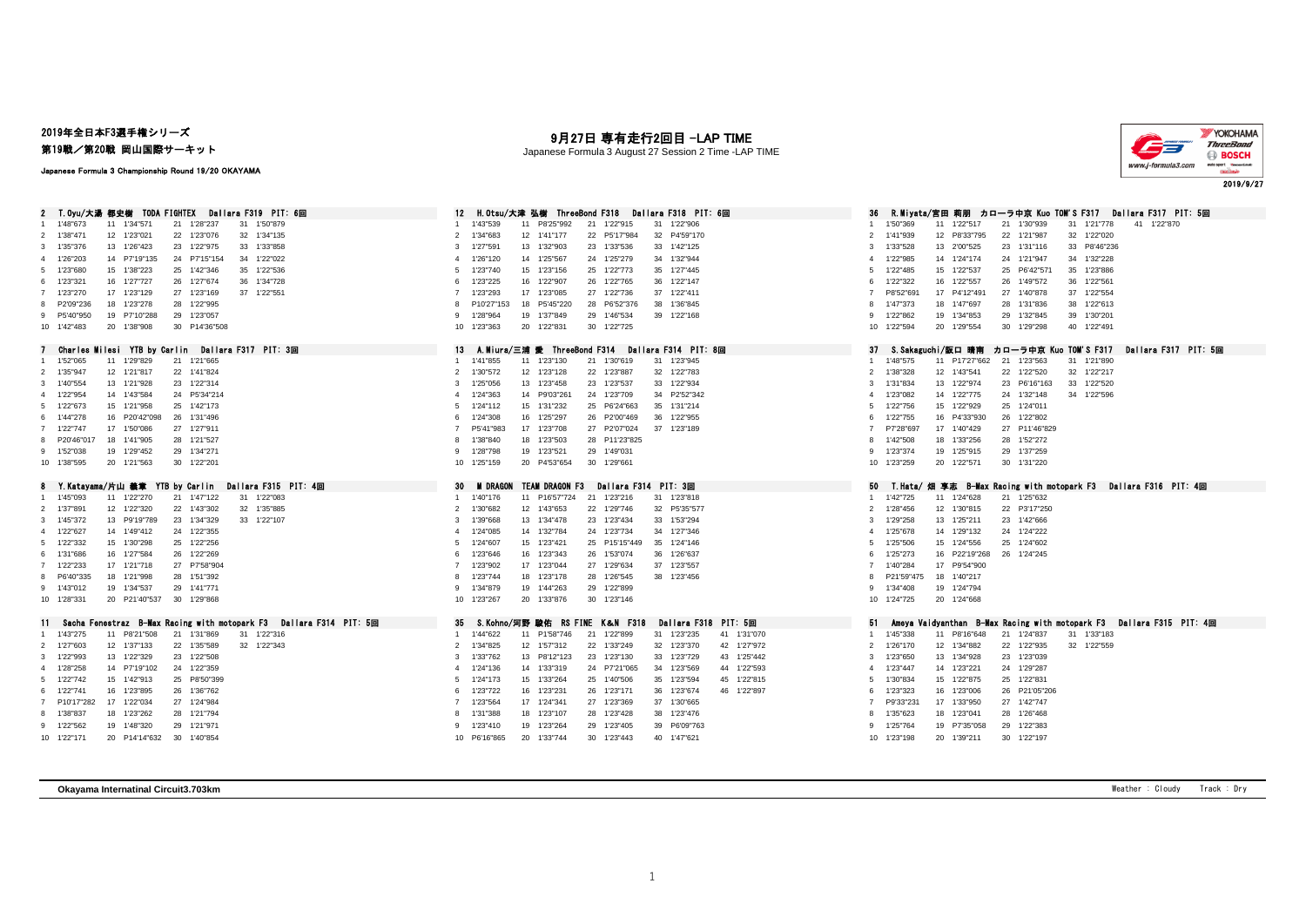## 2019年全日本F3選手権シリーズ

第19戦/第20戦 岡山国際サーキット

### Japanese Formula 3 Championship Round 19/20 OKAYAMA

月27日 専有走行2回目 -LAP TIME

Japanese Formula 3 August 27 Session 2 Time -LAP TIME



| Dallara F319 PIT: 6回<br>2. T.0yu/大湯:都史樹<br>TODA FIGHTEX                                 | H.Otsu/大津 弘樹 ThreeBond F318<br>Dallara F318 PIT: 6回<br>12                                                                | カローラ中亰 Kuo TOM'S F317<br>Dallara F317 PIT: 5回<br>R.Mivata/宮田 莉朋                           |
|-----------------------------------------------------------------------------------------|--------------------------------------------------------------------------------------------------------------------------|-------------------------------------------------------------------------------------------|
| 1 1'48"673<br>11 1'34"571<br>31 1'50"879<br>21 1'28"237                                 | 1'43"539<br>11 P8'25"992<br>21 1'22"915<br>31 1'22"906                                                                   | 31 1'21"778<br>41 1'22"870<br>1'50"369<br>11 1'22"517<br>21 1'30"939                      |
| 32 1'34"135<br>2 1'38"471<br>12 1'23"021<br>22 1'23"076                                 | 32 P4'59"170<br>1'34"683<br>12 1'41"177<br>22 P5'17"984<br>$\overline{2}$                                                | 1'41"939<br>12 P8'33"795<br>22 1'21"987<br>32 1'22"020<br>$\mathfrak{p}$                  |
| 3 1'35"376<br>13 1'26"423<br>23 1'22"975<br>33 1'33"858                                 | 13 1'32"903<br>23 1'33"536<br>33 1'42"125<br>1'27"591<br>3                                                               | 33 P8'46"236<br>1'33"528<br>13 2'00"525<br>23 1'31"116<br>3                               |
| 24 P7'15"154<br>4 1'26"203<br>14 P7'19"135<br>34 1'22"022                               | 34 1'32"944<br>14 1'25"567<br>24 1'25"279<br>1'26"120<br>4                                                               | 24 1'21"947<br>34 1'32"228<br>1'22"985<br>14 1'24"174<br>$\overline{4}$                   |
| 5 1'23"680<br>15 1'38"223<br>25 1'42"346<br>35 1'22"536                                 | 35 1'27"445<br>1'23"740<br>15 1'23"156<br>25 1'22"773<br>5                                                               | 1'22"485<br>15 1'22"537<br>25 P6'42"571<br>35 1'23"886<br>5                               |
| 16 1'27"727<br>6 1'23"321<br>26 1'27"674<br>36 1'34"728                                 | 26 1'22"765<br>36 1'22"147<br>1'23"225<br>16 1'22"907<br>6                                                               | 36 1'22"561<br>1'22"322<br>16 1'22"557<br>26 1'49"572<br>6                                |
| 7 1'23"270<br>17 1'23"129<br>27 1'23"169<br>37 1'22"551                                 | 37 1'22"411<br>1'23"293<br>17 1'23"085<br>27 1'22"736<br>$\overline{7}$                                                  | P8'52"691<br>17 P4'12"491<br>27 1'40"878<br>37 1'22"554<br>7                              |
| 8 P2'09"236<br>18 1'23"278<br>28 1'22"995                                               | 18 P5'45"220<br>28 P6'52"376<br>38 1'36"845<br>P10'27"153<br>8                                                           | 38 1'22"613<br>1'47"373<br>18 1'47"697<br>28 1'31"836<br>8                                |
| 19 P7'10"288<br>29 1'23"057<br>9 P5'40"950                                              | 29 1'46"534<br>39 1'22"168<br>1'28"964<br>19 1'37"849<br>-9                                                              | 39 1'30"201<br>1'22"862<br>19 1'34"853<br>29 1'32"845<br>9                                |
| 20 1'38"908<br>30 P14'36"508<br>10 1'42"483                                             | 10 1'23"363<br>20 1'22"831<br>30 1'22"725                                                                                | 40 1'22"491<br>10 1'22"594<br>20 1'29"554<br>30 1'29"298                                  |
|                                                                                         |                                                                                                                          |                                                                                           |
| Charles Milesi YTB by Carlin Dallara F317 PIT: 3回                                       | 13<br>A.Miura/三浦 愛 ThreeBond F314 Dallara F314 PIT: 8回                                                                   | S.Sakaguchi/版口 晴南<br>カローラ中京 Kuo TOM'S F317<br>Dallara F317 PIT: 5回<br>-37                 |
| 1 1'52"065<br>11 1'29"829<br>21 1'21"665                                                | 11 1'23"130<br>31 1'23"945<br>1 1'41"855<br>21 1'30"619                                                                  | 1'48"575<br>11 P17'27"662 21 1'23"563<br>31 1'21"890                                      |
| 2 1'35"947<br>12 1'21"817<br>22 1'41"824                                                | 2 1'30"572<br>12 1'23"128<br>22 1'23"887<br>32 1'22"783                                                                  | 12 1'43"541<br>22 1'22"520<br>32 1'22"217<br>2<br>1'38"328                                |
| 13 1'21"928<br>3 1'40"554<br>23 1'22"314                                                | 23 1'23"537<br>33 1'22"934<br>1'25"056<br>13 1'23"458<br>3                                                               | 33 1'22"520<br>1'31"834<br>13 1'22"974<br>23 P6'16"163<br>3                               |
| 4 1'22"954<br>14 1'43"584<br>24 P5'34"214                                               | 1'24"363<br>14 P9'03"261<br>24 1'23"709<br>34 P2'52"342<br>$\Delta$                                                      | 14 1'22"775<br>24 1'32"148<br>34 1'22"596<br>1'23"082<br>4                                |
| 5 1'22"673<br>15 1'21"958<br>25 1'42"173                                                | 25 P6'24"663<br>35 1'31"214<br>1'24"112<br>15 1'31"232<br>5                                                              | 25 1'24"011<br>1'22"756<br>15 1'22"929<br>5                                               |
| 6 1'44"278<br>16 P20'42"098<br>26 1'31"496                                              | 1'24"308<br>16 1'25"297<br>26 P2'00"469<br>36 1'22"955<br>6                                                              | 16 P4'33"930<br>26 1'22"802<br>1'22"755<br>6                                              |
| 7 1'22"747<br>17 1'50"086<br>27 1'27"911                                                | P5'41"983<br>17 1'23"708<br>27 P2'07"024<br>37 1'23"189<br>$\overline{7}$                                                | P7'28"697<br>17 1'40"429<br>27 P11'46"829<br>$\overline{7}$                               |
| 18 1'41"905<br>8 P20'46"017<br>28 1'21"527                                              | 28 P11'23"825<br>1'38"840<br>18 1'23"503<br>8                                                                            | 1'42"508<br>18 1'33"256<br>28 1'52"272<br>8                                               |
| 19 1'29"452<br>29 1'34"271<br>9 1'52"038                                                | 19 1'23"521<br>29 1'49"031<br>1'28"798<br>9                                                                              | 29 1'37"259<br>1'23"374<br>19 1'25"915<br>9                                               |
| 20 1'21"563<br>30 1'22"201<br>10 1'38"595                                               | 20 P4'53"654<br>30 1'29"661<br>10 1'25"159                                                                               | 30 1'31"220<br>10 1'23"259<br>20 1'22"571                                                 |
|                                                                                         |                                                                                                                          |                                                                                           |
|                                                                                         |                                                                                                                          |                                                                                           |
|                                                                                         |                                                                                                                          |                                                                                           |
| 8 Y.Katayama/片山 義章 YTB by Carlin Dallara F315 PIT: 4回                                   | Dailara F314 PIT: 3回<br>30<br><b>M DRAGON</b><br><b>TEAM DRAGON F3</b>                                                   | 50<br>T.Hata/ 烟 享志 B—Max Racing with motopark F3  Dallara F316 PIT: 4回<br>1'42"725<br>1   |
| 11 1'22"270<br>21 1'47"122<br>31 1'22"083<br>1 1'45"093                                 | 11 P16'57"724 21 1'23"216<br>31 1'23"818<br>1 1'40"176                                                                   | 11 1'24"628<br>21 1'25"632<br>$\overline{2}$                                              |
| 12 1'22"320<br>22 1'43"302<br>32 1'35"885<br>2 1'37"891                                 | 12 1'43"653<br>22 1'29"746<br>32 P5'35"577<br>2 1'30"682                                                                 | 22 P3'17"250<br>1'28"456<br>12 1'30"815                                                   |
| 3 1'45"372<br>13 P9'19"789<br>23 1'34"329<br>33 1'22"107                                | 23 1'23"434<br>33 1'53"294<br>13 1'34"478<br>3<br>1'39"668<br>4                                                          | 23 1'42"666<br>13 1'25"211<br>3<br>1'29"258<br>$\overline{4}$                             |
| 24 1'22"355<br>4 1'22"627<br>14 1'49"412                                                | 34 1'27"346<br>14 1'32"784<br>24 1'23"734<br>1'24"085                                                                    | 14 1'29"132<br>24 1'24"222<br>1'25"678                                                    |
| 15 1'30"298<br>25 1'22"256<br>5 1'22"332                                                | 25 P15'15"449<br>35 1'24"146<br>1'24"607<br>15 1'23"421<br>5                                                             | 25 1'24"602<br>1'25"506<br>15 1'24"556<br>5<br>6                                          |
| 16 1'27"584<br>26 1'22"269<br>6 1'31"686                                                | 26 1'53"074<br>36 1'26"637<br>6<br>1'23"646<br>16 1'23"343<br>$\overline{7}$                                             | 16 P22'19"268<br>1'25"273<br>26 1'24"245<br>-7                                            |
| 17 1'21"718<br>27 P7'58"904<br>7 1'22"233                                               | 37 1'23"557<br>1'23"902<br>17 1'23"044<br>27 1'29"634<br>8                                                               | 17 P9'54"900<br>1'40"284<br>8                                                             |
| 8 P6'40"335<br>18 1'21"998<br>28 1'51"392                                               | 1'23"744<br>18 1'23"178<br>28 1'26"545<br>38 1'23"456                                                                    | P21'59"475<br>18 1'40"217<br>-9                                                           |
| 19 1'34"537<br>29 1'41"771<br>9 1'43"012                                                | 9 1'34"879<br>19 1'44"263<br>29 1'22"899                                                                                 | 19 1'24"794<br>1'34"408                                                                   |
| 10 1'28"331<br>20 P21'40"537<br>30 1'29"868                                             | 30 1'23"146<br>10 1'23"267<br>20 1'33"876                                                                                | 10 1'24"725<br>20 1'24"668                                                                |
|                                                                                         |                                                                                                                          | 51                                                                                        |
| 11 Sacha Fenestraz B-Max Racing with motopark F3 Dallara F314 PIT: 5回                   | 35 S. Kohno/河野 駿佑 RS FINE<br>Dallara F318 PIT: 5回<br>K&N F318<br>1 1'44"622                                              | Ameya Vaidyanthan B-Max Racing with motopark F3 Dallara F315 PIT: 4回<br>-1.               |
| 11 P8'21"508<br>31 1'22"316<br>1 1'43"275<br>21 1'31"869                                | 41 1'31"070<br>11 P1'58"746<br>21 1'22"899<br>31 1'23"235                                                                | 11 P8'16"648<br>21 1'24"837<br>31 1'33"183<br>1'45"338                                    |
| 12 1'37"133<br>32 1'22"343<br>2 1'27"603<br>22 1'35"589                                 | 12 1'57"312<br>22 1'33"249<br>32 1'23"370<br>42 1'27"972<br>2 1'34"825<br>-3                                             | 12 1'34"882<br>22 1'22"935<br>32 1'22"559<br>1'26"170<br>2<br>3                           |
| 13 1'22"329<br>23 1'22"508<br>3 1'22"993                                                | 23 1'23"130<br>13 P8'12"123<br>33 1'23"729<br>43 1'25"442<br>1'33"762                                                    | 23 1'23"039<br>13 1'34"928<br>1'23"650<br>$\overline{4}$                                  |
| 14 P7'19"102<br>24 1'22"359<br>4 1'28"258                                               | 44 1'22"593<br>4 1'24"136<br>14 1'33"319<br>24 P7'21"065<br>34 1'23"569<br>5                                             | 1'23"447<br>14 1'23"221<br>24 1'29"287<br>5                                               |
| 5 1'22"742<br>15 1'42"913<br>25 P8'50"399                                               | 15 1'33"264<br>25 1'40"506<br>35 1'23"594<br>45 1'22"815<br>1'24"173                                                     | 25 1'22"831<br>1'30"834<br>15 1'22"875<br>-6                                              |
| 6 1'22"741<br>16 1'23"895<br>26 1'36"762                                                | 26 1'23"171<br>36 1'23"674<br>46 1'22"897<br>6<br>1'23"722<br>16 1'23"231<br>$\overline{7}$                              | 26 P21'05"206<br>1'23"323<br>16 1'23"006                                                  |
| 17 1'22"034<br>7 P10'17"282<br>27 1'24"984                                              | 37 1'30"665<br>1'23"564<br>17 1'24"341<br>27 1'23"369<br>8                                                               | P9'33"231<br>17 1'33"950<br>27 1'42"747<br>8                                              |
| 8 1'38"837<br>18 1'23"262<br>28 1'21"794                                                | 38 1'23"476<br>18 1'23"107<br>28 1'23"428<br>1'31"388                                                                    | 28 1'26"468<br>18 1'23"041<br>1'35"623                                                    |
| 9 1'22"562<br>19 1'48"320<br>29 1'21"971<br>10 1'22"171<br>20 P14'14"632<br>30 1'40"854 | 19 1'23"264<br>29 1'23"405<br>39 P6'09"763<br>1'23"410<br>9<br>20 1'33"744<br>30 1'23"443<br>40 1'47"621<br>10 P6'16"865 | 19 P7'35"058<br>29 1'22"383<br>1'25"764<br>9<br>10 1'23"198<br>20 1'39"211<br>30 1'22"197 |

**Okayama Internatinal Circuit3.703km** Weather : Cloudy Track : Dry